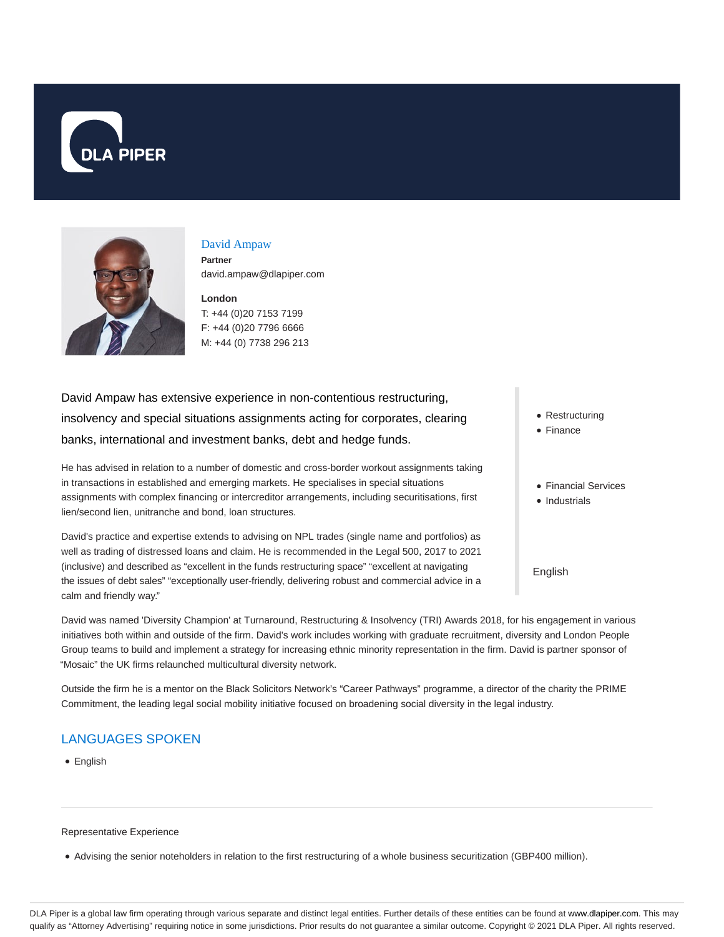



# David Ampaw

**Partner** david.ampaw@dlapiper.com

**London** T: +44 (0)20 7153 7199 F: +44 (0)20 7796 6666 M: +44 (0) 7738 296 213

David Ampaw has extensive experience in non-contentious restructuring, insolvency and special situations assignments acting for corporates, clearing banks, international and investment banks, debt and hedge funds.

He has advised in relation to a number of domestic and cross-border workout assignments taking in transactions in established and emerging markets. He specialises in special situations assignments with complex financing or intercreditor arrangements, including securitisations, first lien/second lien, unitranche and bond, loan structures.

David's practice and expertise extends to advising on NPL trades (single name and portfolios) as well as trading of distressed loans and claim. He is recommended in the Legal 500, 2017 to 2021 (inclusive) and described as "excellent in the funds restructuring space" "excellent at navigating the issues of debt sales" "exceptionally user-friendly, delivering robust and commercial advice in a calm and friendly way."

David was named 'Diversity Champion' at Turnaround, Restructuring & Insolvency (TRI) Awards 2018, for his engagement in various initiatives both within and outside of the firm. David's work includes working with graduate recruitment, diversity and London People Group teams to build and implement a strategy for increasing ethnic minority representation in the firm. David is partner sponsor of "Mosaic" the UK firms relaunched multicultural diversity network.

Outside the firm he is a mentor on the Black Solicitors Network's "Career Pathways" programme, a director of the charity the PRIME Commitment, the leading legal social mobility initiative focused on broadening social diversity in the legal industry.

# LANGUAGES SPOKEN

• English

#### Representative Experience

Advising the senior noteholders in relation to the first restructuring of a whole business securitization (GBP400 million).

- Restructuring
- Finance
- Financial Services
- Industrials

English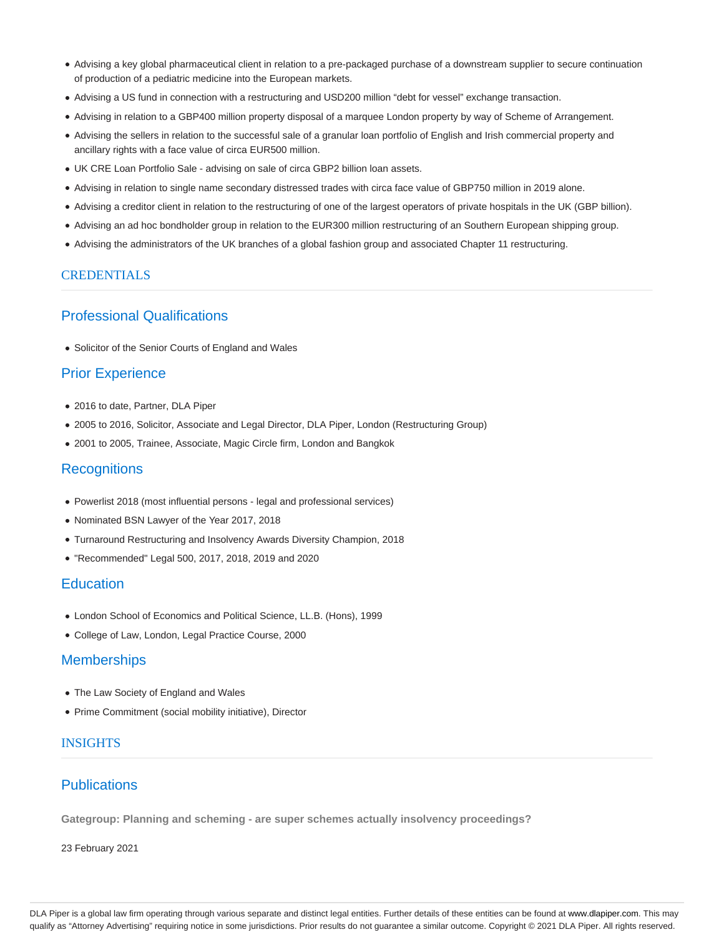- Advising a key global pharmaceutical client in relation to a pre-packaged purchase of a downstream supplier to secure continuation of production of a pediatric medicine into the European markets.
- Advising a US fund in connection with a restructuring and USD200 million "debt for vessel" exchange transaction.
- Advising in relation to a GBP400 million property disposal of a marquee London property by way of Scheme of Arrangement.
- Advising the sellers in relation to the successful sale of a granular loan portfolio of English and Irish commercial property and ancillary rights with a face value of circa EUR500 million.
- UK CRE Loan Portfolio Sale advising on sale of circa GBP2 billion loan assets.
- Advising in relation to single name secondary distressed trades with circa face value of GBP750 million in 2019 alone.
- Advising a creditor client in relation to the restructuring of one of the largest operators of private hospitals in the UK (GBP billion).
- Advising an ad hoc bondholder group in relation to the EUR300 million restructuring of an Southern European shipping group.
- Advising the administrators of the UK branches of a global fashion group and associated Chapter 11 restructuring.

#### **CREDENTIALS**

# Professional Qualifications

• Solicitor of the Senior Courts of England and Wales

### Prior Experience

- 2016 to date, Partner, DLA Piper
- 2005 to 2016, Solicitor, Associate and Legal Director, DLA Piper, London (Restructuring Group)
- 2001 to 2005, Trainee, Associate, Magic Circle firm, London and Bangkok

#### **Recognitions**

- Powerlist 2018 (most influential persons legal and professional services)
- Nominated BSN Lawyer of the Year 2017, 2018
- Turnaround Restructuring and Insolvency Awards Diversity Champion, 2018
- "Recommended" Legal 500, 2017, 2018, 2019 and 2020

## **Education**

- London School of Economics and Political Science, LL.B. (Hons), 1999
- College of Law, London, Legal Practice Course, 2000

## **Memberships**

- The Law Society of England and Wales
- Prime Commitment (social mobility initiative), Director

#### INSIGHTS

#### **Publications**

**Gategroup: Planning and scheming - are super schemes actually insolvency proceedings?**

23 February 2021